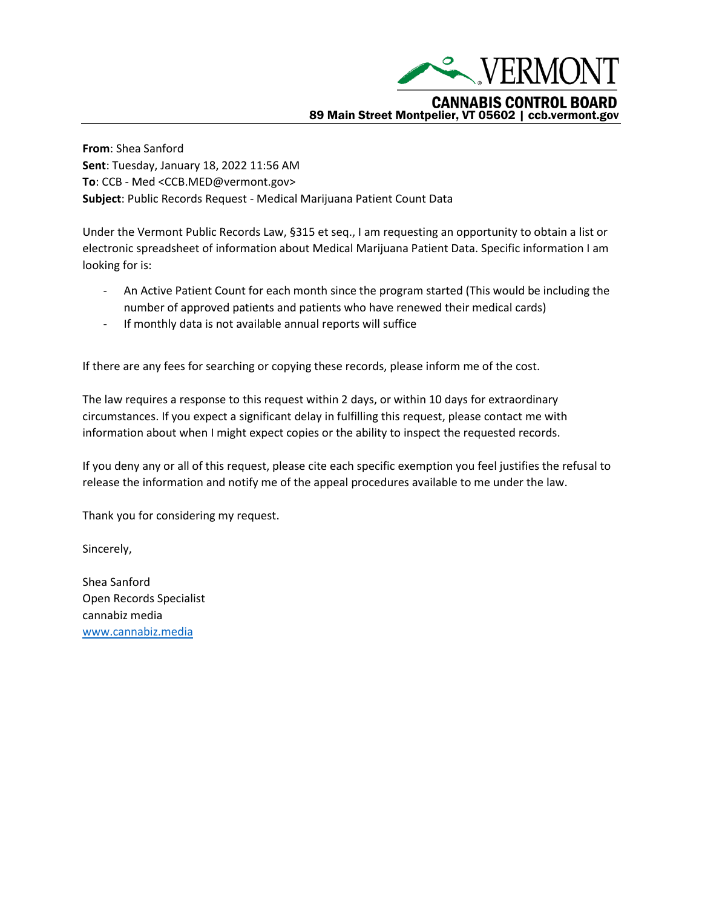

**From**: Shea Sanford **Sent**: Tuesday, January 18, 2022 11:56 AM **To**: CCB - Med <CCB.MED@vermont.gov> **Subject**: Public Records Request - Medical Marijuana Patient Count Data

Under the Vermont Public Records Law, §315 et seq., I am requesting an opportunity to obtain a list or electronic spreadsheet of information about Medical Marijuana Patient Data. Specific information I am looking for is:

- An Active Patient Count for each month since the program started (This would be including the number of approved patients and patients who have renewed their medical cards)
- If monthly data is not available annual reports will suffice

If there are any fees for searching or copying these records, please inform me of the cost.

The law requires a response to this request within 2 days, or within 10 days for extraordinary circumstances. If you expect a significant delay in fulfilling this request, please contact me with information about when I might expect copies or the ability to inspect the requested records.

If you deny any or all of this request, please cite each specific exemption you feel justifies the refusal to release the information and notify me of the appeal procedures available to me under the law.

Thank you for considering my request.

Sincerely,

Shea Sanford Open Records Specialist cannabiz media [www.cannabiz.media](http://www.cannabiz.media/)